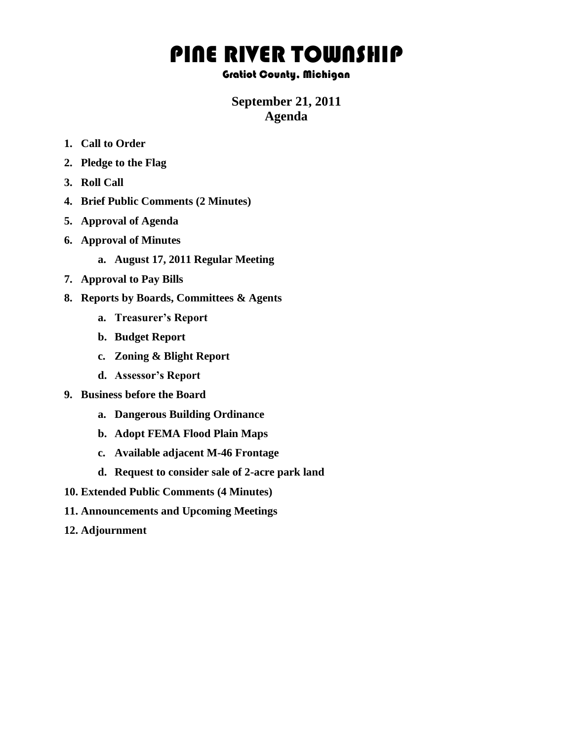## PINE RIVER TOWNSHIP

## Gratiot County, Michigan

## **September 21, 2011 Agenda**

- **1. Call to Order**
- **2. Pledge to the Flag**
- **3. Roll Call**
- **4. Brief Public Comments (2 Minutes)**
- **5. Approval of Agenda**
- **6. Approval of Minutes**
	- **a. August 17, 2011 Regular Meeting**
- **7. Approval to Pay Bills**
- **8. Reports by Boards, Committees & Agents**
	- **a. Treasurer's Report**
	- **b. Budget Report**
	- **c. Zoning & Blight Report**
	- **d. Assessor's Report**
- **9. Business before the Board**
	- **a. Dangerous Building Ordinance**
	- **b. Adopt FEMA Flood Plain Maps**
	- **c. Available adjacent M-46 Frontage**
	- **d. Request to consider sale of 2-acre park land**
- **10. Extended Public Comments (4 Minutes)**
- **11. Announcements and Upcoming Meetings**
- **12. Adjournment**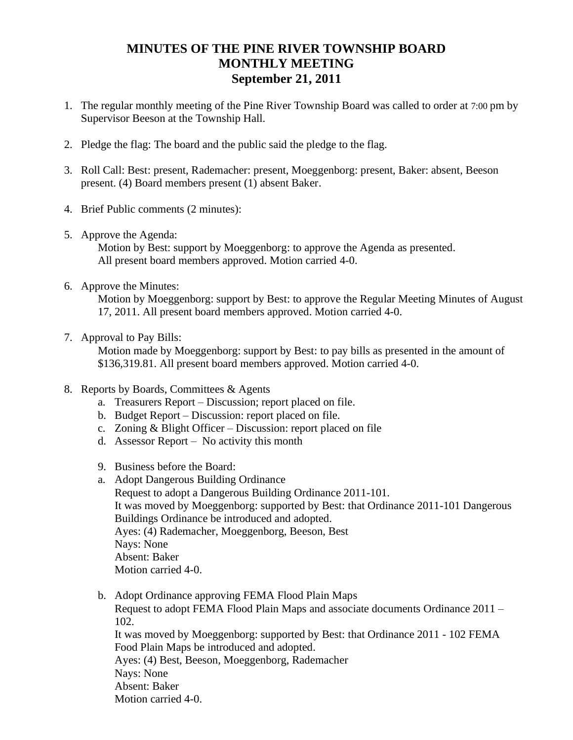## **MINUTES OF THE PINE RIVER TOWNSHIP BOARD MONTHLY MEETING September 21, 2011**

- 1. The regular monthly meeting of the Pine River Township Board was called to order at 7:00 pm by Supervisor Beeson at the Township Hall.
- 2. Pledge the flag: The board and the public said the pledge to the flag.
- 3. Roll Call: Best: present, Rademacher: present, Moeggenborg: present, Baker: absent, Beeson present. (4) Board members present (1) absent Baker.
- 4. Brief Public comments (2 minutes):
- 5. Approve the Agenda:

Motion by Best: support by Moeggenborg: to approve the Agenda as presented. All present board members approved. Motion carried 4-0.

6. Approve the Minutes:

Motion by Moeggenborg: support by Best: to approve the Regular Meeting Minutes of August 17, 2011. All present board members approved. Motion carried 4-0.

7. Approval to Pay Bills:

 Motion made by Moeggenborg: support by Best: to pay bills as presented in the amount of \$136,319.81. All present board members approved. Motion carried 4-0.

- 8. Reports by Boards, Committees & Agents
	- a. Treasurers Report Discussion; report placed on file.
	- b. Budget Report Discussion: report placed on file.
	- c. Zoning & Blight Officer Discussion: report placed on file
	- d. Assessor Report No activity this month
	- 9. Business before the Board:
	- a. Adopt Dangerous Building Ordinance

Request to adopt a Dangerous Building Ordinance 2011-101. It was moved by Moeggenborg: supported by Best: that Ordinance 2011-101 Dangerous Buildings Ordinance be introduced and adopted. Ayes: (4) Rademacher, Moeggenborg, Beeson, Best Nays: None Absent: Baker Motion carried 4-0.

b. Adopt Ordinance approving FEMA Flood Plain Maps Request to adopt FEMA Flood Plain Maps and associate documents Ordinance 2011 – 102.

It was moved by Moeggenborg: supported by Best: that Ordinance 2011 - 102 FEMA Food Plain Maps be introduced and adopted.

Ayes: (4) Best, Beeson, Moeggenborg, Rademacher Nays: None Absent: Baker

Motion carried 4-0.